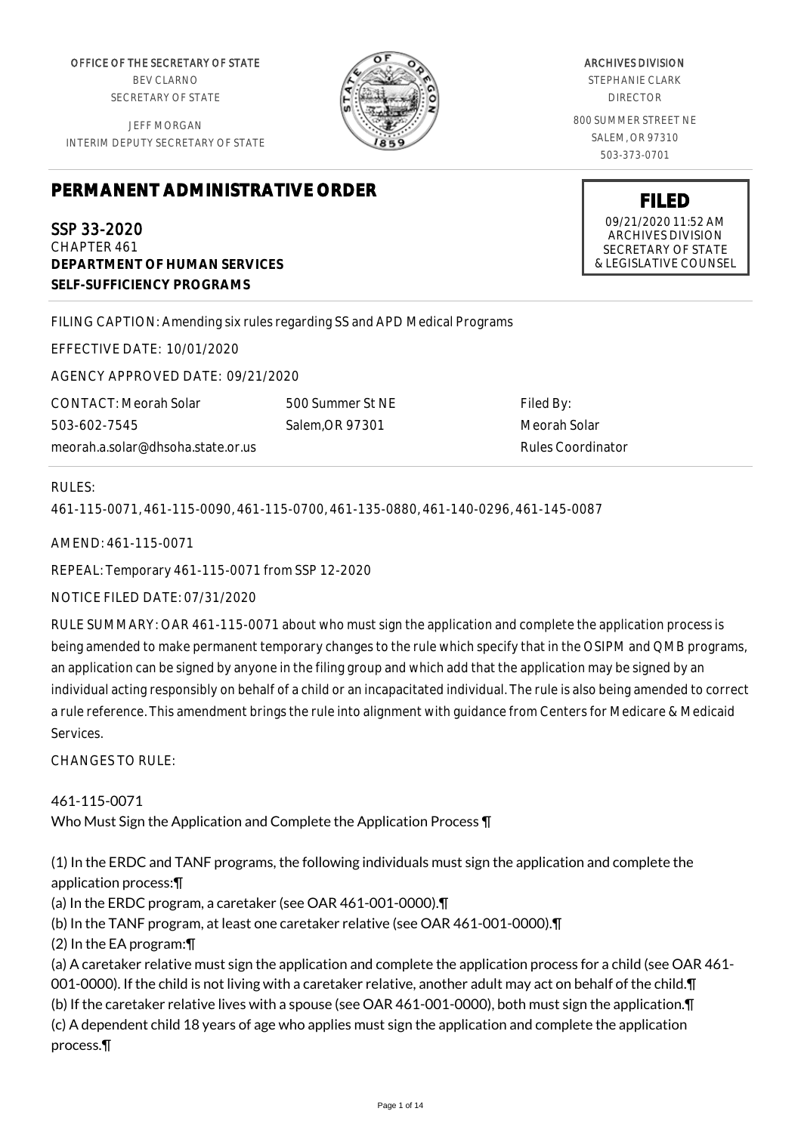OFFICE OF THE SECRETARY OF STATE BEV CLARNO SECRETARY OF STATE

JEFF MORGAN INTERIM DEPUTY SECRETARY OF STATE

# **PERMANENT ADMINISTRATIVE ORDER**

SSP 33-2020 CHAPTER 461 **DEPARTMENT OF HUMAN SERVICES SELF-SUFFICIENCY PROGRAMS**

FILING CAPTION: Amending six rules regarding SS and APD Medical Programs

EFFECTIVE DATE: 10/01/2020

AGENCY APPROVED DATE: 09/21/2020

CONTACT: Meorah Solar 503-602-7545 meorah.a.solar@dhsoha.state.or.us 500 Summer St NE Salem,OR 97301

Filed By: Meorah Solar Rules Coordinator

## RULES:

461-115-0071, 461-115-0090, 461-115-0700, 461-135-0880, 461-140-0296, 461-145-0087

AMEND: 461-115-0071

REPEAL: Temporary 461-115-0071 from SSP 12-2020

NOTICE FILED DATE: 07/31/2020

RULE SUMMARY: OAR 461-115-0071 about who must sign the application and complete the application process is being amended to make permanent temporary changes to the rule which specify that in the OSIPM and QMB programs, an application can be signed by anyone in the filing group and which add that the application may be signed by an individual acting responsibly on behalf of a child or an incapacitated individual. The rule is also being amended to correct a rule reference. This amendment brings the rule into alignment with guidance from Centers for Medicare & Medicaid Services.

 $CHANGFS TO RIIF$ 

461-115-0071 Who Must Sign the Application and Complete the Application Process ¶

(1) In the ERDC and TANF programs, the following individuals must sign the application and complete the application process:¶

(a) In the ERDC program, a caretaker (see OAR 461-001-0000).¶

(b) In the TANF program, at least one caretaker relative (see OAR 461-001-0000).¶

(2) In the EA program:¶

(a) A caretaker relative must sign the application and complete the application process for a child (see OAR 461- 001-0000). If the child is not living with a caretaker relative, another adult may act on behalf of the child.¶ (b) If the caretaker relative lives with a spouse (see OAR 461-001-0000), both must sign the application.¶ (c) A dependent child 18 years of age who applies must sign the application and complete the application process.¶

ARCHIVES DIVISION STEPHANIE CLARK

DIRECTOR 800 SUMMER STREET NE

SALEM, OR 97310 503-373-0701

> **FILED** 09/21/2020 11:52 AM ARCHIVES DIVISION SECRETARY OF STATE & LEGISLATIVE COUNSEL

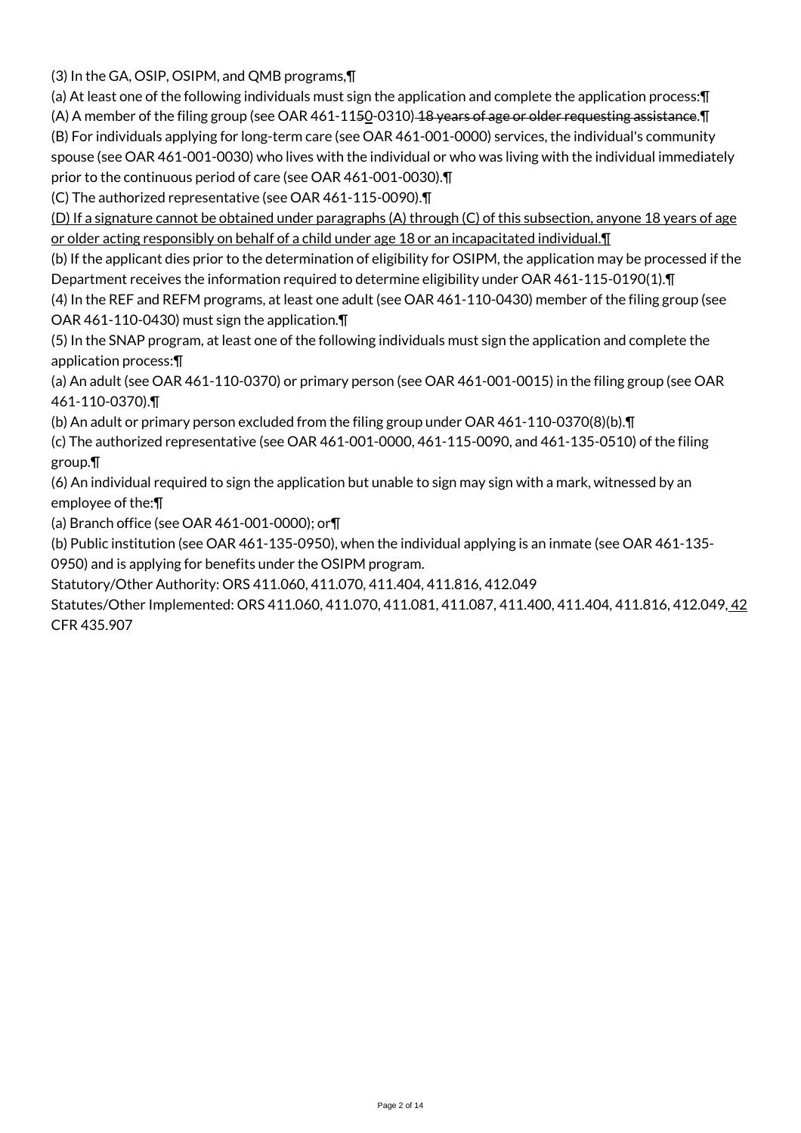(3) In the GA, OSIP, OSIPM, and QMB programs,¶

(a) At least one of the following individuals must sign the application and complete the application process:¶

(A) A member of the filing group (see OAR  $461-1150-0310$ ) 18 years of age or older requesting assistance. In (B) For individuals applying for long-term care (see OAR 461-001-0000) services, the individual's community spouse (see OAR 461-001-0030) who lives with the individual or who was living with the individual immediately prior to the continuous period of care (see OAR 461-001-0030).¶

(C) The authorized representative (see OAR 461-115-0090).¶

(D) If a signature cannot be obtained under paragraphs (A) through (C) of this subsection, anyone 18 years of age or older acting responsibly on behalf of a child under age 18 or an incapacitated individual. I

(b) If the applicant dies prior to the determination of eligibility for OSIPM, the application may be processed if the Department receives the information required to determine eligibility under OAR 461-115-0190(1).¶

(4) In the REF and REFM programs, at least one adult (see OAR 461-110-0430) member of the filing group (see OAR 461-110-0430) must sign the application.¶

(5) In the SNAP program, at least one of the following individuals must sign the application and complete the application process:¶

(a) An adult (see OAR 461-110-0370) or primary person (see OAR 461-001-0015) in the filing group (see OAR 461-110-0370).¶

(b) An adult or primary person excluded from the filing group under OAR 461-110-0370(8)(b).¶

(c) The authorized representative (see OAR 461-001-0000, 461-115-0090, and 461-135-0510) of the filing group.¶

(6) An individual required to sign the application but unable to sign may sign with a mark, witnessed by an employee of the:¶

(a) Branch office (see OAR 461-001-0000); or¶

(b) Public institution (see OAR 461-135-0950), when the individual applying is an inmate (see OAR 461-135-

0950) and is applying for benefits under the OSIPM program.

Statutory/Other Authority: ORS 411.060, 411.070, 411.404, 411.816, 412.049

Statutes/Other Implemented: ORS 411.060, 411.070, 411.081, 411.087, 411.400, 411.404, 411.816, 412.049, 42 CFR 435.907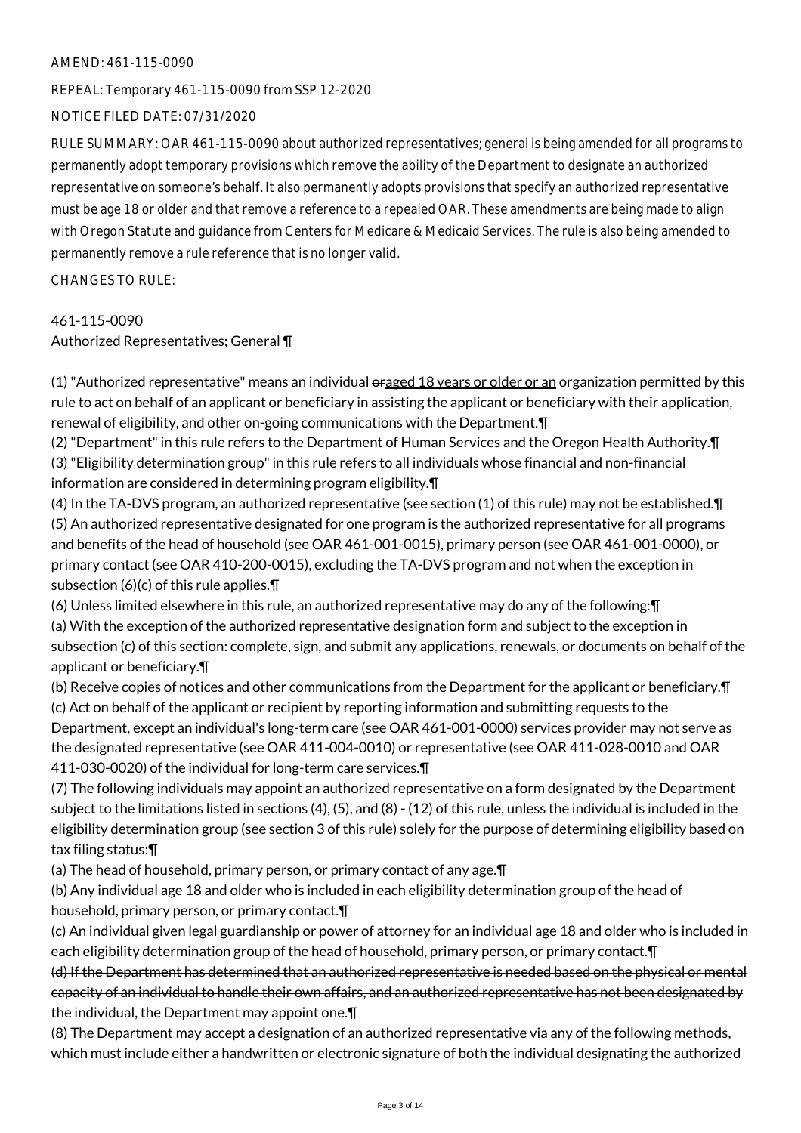#### AMEND: 461-115-0090

REPEAL: Temporary 461-115-0090 from SSP 12-2020

## NOTICE FILED DATE: 07/31/2020

RULE SUMMARY: OAR 461-115-0090 about authorized representatives; general is being amended for all programs to permanently adopt temporary provisions which remove the ability of the Department to designate an authorized representative on someone's behalf. It also permanently adopts provisions that specify an authorized representative must be age 18 or older and that remove a reference to a repealed OAR. These amendments are being made to align with Oregon Statute and guidance from Centers for Medicare & Medicaid Services. The rule is also being amended to permanently remove a rule reference that is no longer valid.

CHANGES TO RULE:

# 461-115-0090

Authorized Representatives; General ¶

(1) "Authorized representative" means an individual oraged 18 years or older or an organization permitted by this rule to act on behalf of an applicant or beneficiary in assisting the applicant or beneficiary with their application, renewal of eligibility, and other on-going communications with the Department.¶

(2) "Department" in this rule refers to the Department of Human Services and the Oregon Health Authority.¶ (3) "Eligibility determination group" in this rule refers to all individuals whose financial and non-financial information are considered in determining program eligibility.¶

(4) In the TA-DVS program, an authorized representative (see section (1) of this rule) may not be established.¶ (5) An authorized representative designated for one program is the authorized representative for all programs and benefits of the head of household (see OAR 461-001-0015), primary person (see OAR 461-001-0000), or primary contact (see OAR 410-200-0015), excluding the TA-DVS program and not when the exception in subsection (6)(c) of this rule applies.¶

(6) Unless limited elsewhere in this rule, an authorized representative may do any of the following:¶ (a) With the exception of the authorized representative designation form and subject to the exception in subsection (c) of this section: complete, sign, and submit any applications, renewals, or documents on behalf of the applicant or beneficiary.¶

(b) Receive copies of notices and other communications from the Department for the applicant or beneficiary.¶ (c) Act on behalf of the applicant or recipient by reporting information and submitting requests to the Department, except an individual's long-term care (see OAR 461-001-0000) services provider may not serve as the designated representative (see OAR 411-004-0010) or representative (see OAR 411-028-0010 and OAR 411-030-0020) of the individual for long-term care services.¶

(7) The following individuals may appoint an authorized representative on a form designated by the Department subject to the limitations listed in sections (4), (5), and (8) - (12) of this rule, unless the individual is included in the eligibility determination group (see section 3 of this rule) solely for the purpose of determining eligibility based on tax filing status:¶

(a) The head of household, primary person, or primary contact of any age.¶

(b) Any individual age 18 and older who is included in each eligibility determination group of the head of household, primary person, or primary contact.¶

(c) An individual given legal guardianship or power of attorney for an individual age 18 and older who is included in each eligibility determination group of the head of household, primary person, or primary contact.¶

(d) If the Department has determined that an authorized representative is needed based on the physical or mental capacity of an individual to handle their own affairs, and an authorized representative has not been designated by the individual, the Department may appoint one.¶

(8) The Department may accept a designation of an authorized representative via any of the following methods, which must include either a handwritten or electronic signature of both the individual designating the authorized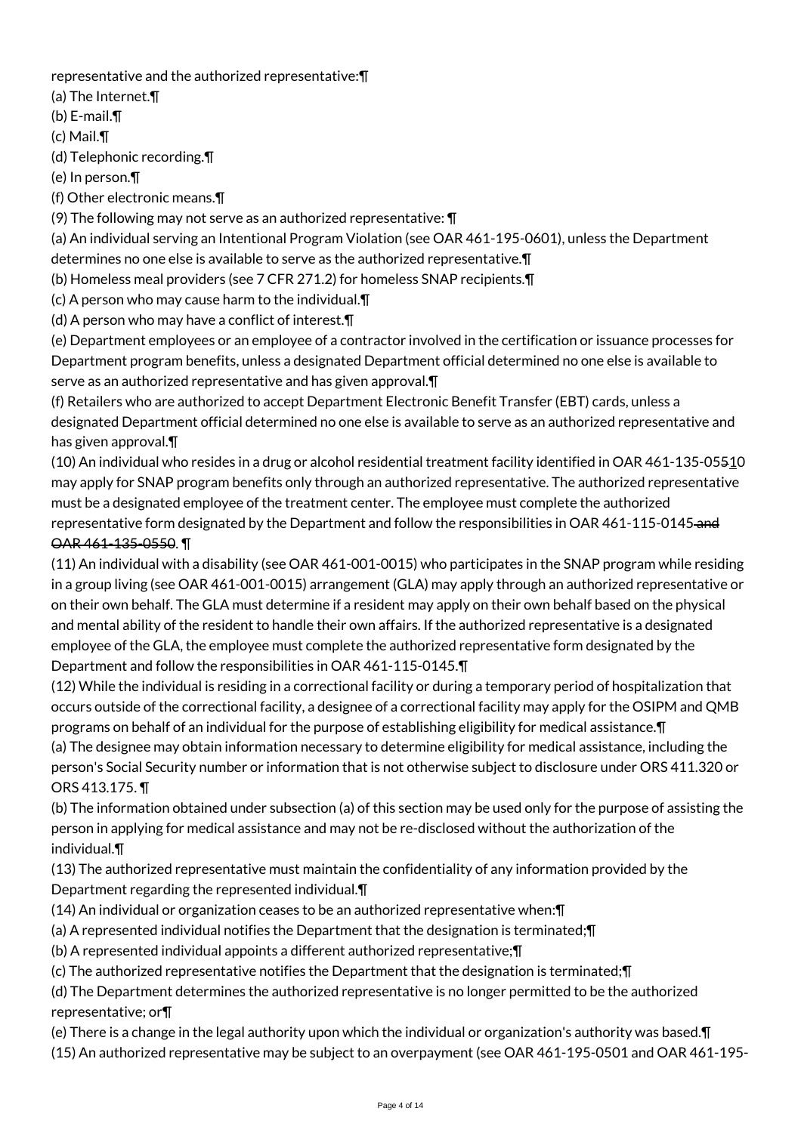representative and the authorized representative:¶

(a) The Internet.¶

(b) E-mail.¶

(c) Mail.¶

(d) Telephonic recording.¶

(e) In person.¶

(f) Other electronic means.¶

(9) The following may not serve as an authorized representative: ¶

(a) An individual serving an Intentional Program Violation (see OAR 461-195-0601), unless the Department determines no one else is available to serve as the authorized representative.¶

(b) Homeless meal providers (see 7 CFR 271.2) for homeless SNAP recipients.¶

(c) A person who may cause harm to the individual.¶

(d) A person who may have a conflict of interest.¶

(e) Department employees or an employee of a contractor involved in the certification or issuance processes for Department program benefits, unless a designated Department official determined no one else is available to serve as an authorized representative and has given approval.¶

(f) Retailers who are authorized to accept Department Electronic Benefit Transfer (EBT) cards, unless a designated Department official determined no one else is available to serve as an authorized representative and has given approval.¶

(10) An individual who resides in a drug or alcohol residential treatment facility identified in OAR 461-135-05510 may apply for SNAP program benefits only through an authorized representative. The authorized representative must be a designated employee of the treatment center. The employee must complete the authorized representative form designated by the Department and follow the responsibilities in OAR 461-115-0145-and OAR 461-135-0550. ¶

(11) An individual with a disability (see OAR 461-001-0015) who participates in the SNAP program while residing in a group living (see OAR 461-001-0015) arrangement (GLA) may apply through an authorized representative or on their own behalf. The GLA must determine if a resident may apply on their own behalf based on the physical and mental ability of the resident to handle their own affairs. If the authorized representative is a designated employee of the GLA, the employee must complete the authorized representative form designated by the Department and follow the responsibilities in OAR 461-115-0145.¶

(12) While the individual is residing in a correctional facility or during a temporary period of hospitalization that occurs outside of the correctional facility, a designee of a correctional facility may apply for the OSIPM and QMB programs on behalf of an individual for the purpose of establishing eligibility for medical assistance.¶

(a) The designee may obtain information necessary to determine eligibility for medical assistance, including the person's Social Security number or information that is not otherwise subject to disclosure under ORS 411.320 or ORS 413.175. ¶

(b) The information obtained under subsection (a) of this section may be used only for the purpose of assisting the person in applying for medical assistance and may not be re-disclosed without the authorization of the individual.¶

(13) The authorized representative must maintain the confidentiality of any information provided by the Department regarding the represented individual.¶

- (14) An individual or organization ceases to be an authorized representative when:¶
- (a) A represented individual notifies the Department that the designation is terminated;¶
- (b) A represented individual appoints a different authorized representative;¶
- (c) The authorized representative notifies the Department that the designation is terminated;¶

(d) The Department determines the authorized representative is no longer permitted to be the authorized representative; or¶

(e) There is a change in the legal authority upon which the individual or organization's authority was based.¶

(15) An authorized representative may be subject to an overpayment (see OAR 461-195-0501 and OAR 461-195-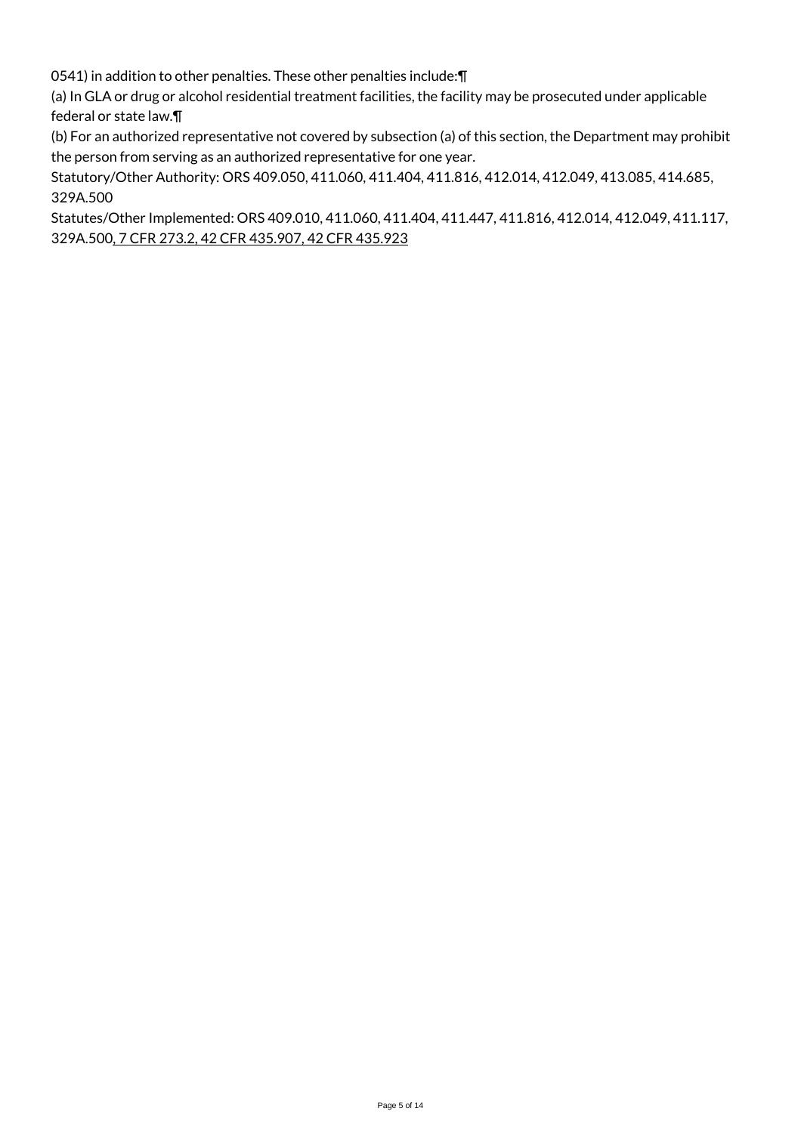0541) in addition to other penalties. These other penalties include:¶

(a) In GLA or drug or alcohol residential treatment facilities, the facility may be prosecuted under applicable federal or state law.¶

(b) For an authorized representative not covered by subsection (a) of this section, the Department may prohibit the person from serving as an authorized representative for one year.

Statutory/Other Authority: ORS 409.050, 411.060, 411.404, 411.816, 412.014, 412.049, 413.085, 414.685, 329A.500

Statutes/Other Implemented: ORS 409.010, 411.060, 411.404, 411.447, 411.816, 412.014, 412.049, 411.117, 329A.500, 7 CFR 273.2, 42 CFR 435.907, 42 CFR 435.923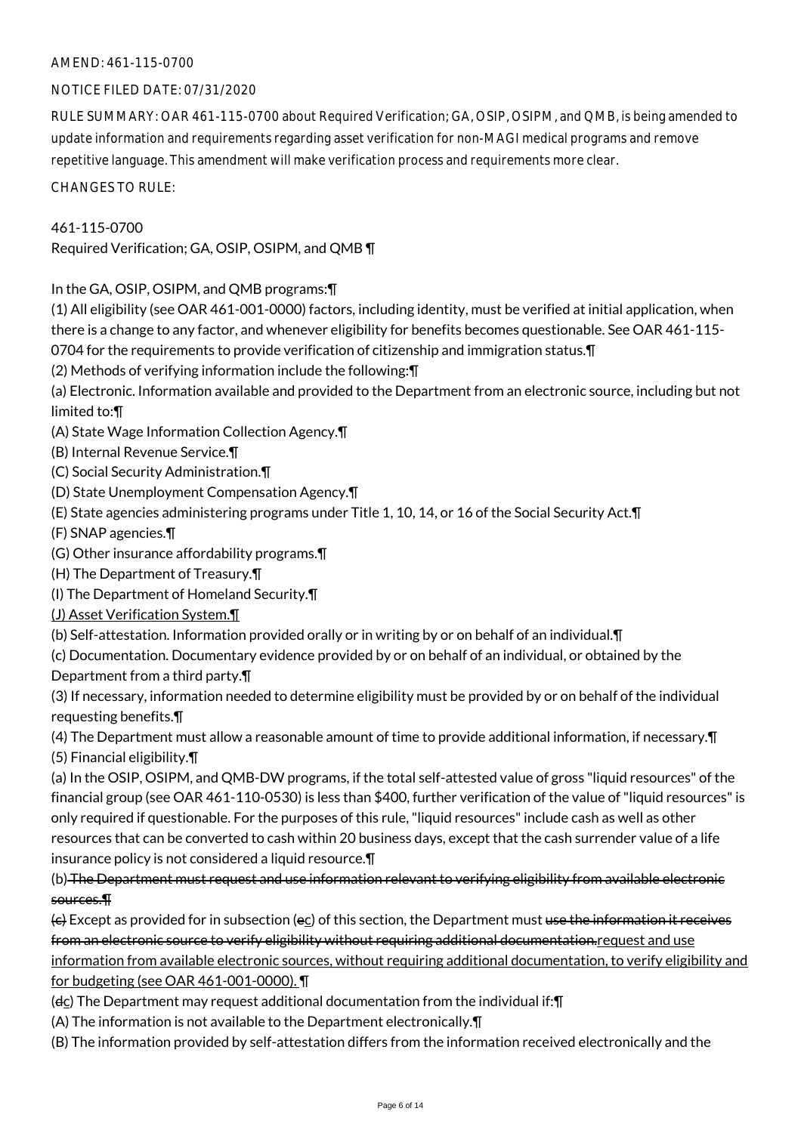# AMEND: 461-115-0700

# NOTICE FILED DATE: 07/31/2020

RULE SUMMARY: OAR 461-115-0700 about Required Verification; GA, OSIP, OSIPM, and QMB, is being amended to update information and requirements regarding asset verification for non-MAGI medical programs and remove repetitive language. This amendment will make verification process and requirements more clear.

CHANGES TO RULE:

# 461-115-0700

Required Verification; GA, OSIP, OSIPM, and QMB ¶

In the GA, OSIP, OSIPM, and QMB programs:¶

(1) All eligibility (see OAR 461-001-0000) factors, including identity, must be verified at initial application, when there is a change to any factor, and whenever eligibility for benefits becomes questionable. See OAR 461-115-

0704 for the requirements to provide verification of citizenship and immigration status.¶

(2) Methods of verifying information include the following:¶

(a) Electronic. Information available and provided to the Department from an electronic source, including but not limited to:¶

(A) State Wage Information Collection Agency.¶

(B) Internal Revenue Service.¶

(C) Social Security Administration.¶

(D) State Unemployment Compensation Agency.¶

(E) State agencies administering programs under Title 1, 10, 14, or 16 of the Social Security Act.¶

(F) SNAP agencies.¶

(G) Other insurance affordability programs.¶

- (H) The Department of Treasury.¶
- (I) The Department of Homeland Security.¶

(J) Asset Verification System.¶

(b) Self-attestation. Information provided orally or in writing by or on behalf of an individual.¶

(c) Documentation. Documentary evidence provided by or on behalf of an individual, or obtained by the

Department from a third party.¶

(3) If necessary, information needed to determine eligibility must be provided by or on behalf of the individual requesting benefits.¶

(4) The Department must allow a reasonable amount of time to provide additional information, if necessary.¶ (5) Financial eligibility.¶

(a) In the OSIP, OSIPM, and QMB-DW programs, if the total self-attested value of gross "liquid resources" of the financial group (see OAR 461-110-0530) is less than \$400, further verification of the value of "liquid resources" is only required if questionable. For the purposes of this rule, "liquid resources" include cash as well as other resources that can be converted to cash within 20 business days, except that the cash surrender value of a life insurance policy is not considered a liquid resource.¶

(b) The Department must request and use information relevant to verifying eligibility from available electronic sources.¶

(c) Except as provided for in subsection (ec) of this section, the Department must use the information it receives from an electronic source to verify eligibility without requiring additional documentation.request and use information from available electronic sources, without requiring additional documentation, to verify eligibility and for budgeting (see OAR 461-001-0000). ¶

(dc) The Department may request additional documentation from the individual if:¶

(A) The information is not available to the Department electronically.¶

(B) The information provided by self-attestation differs from the information received electronically and the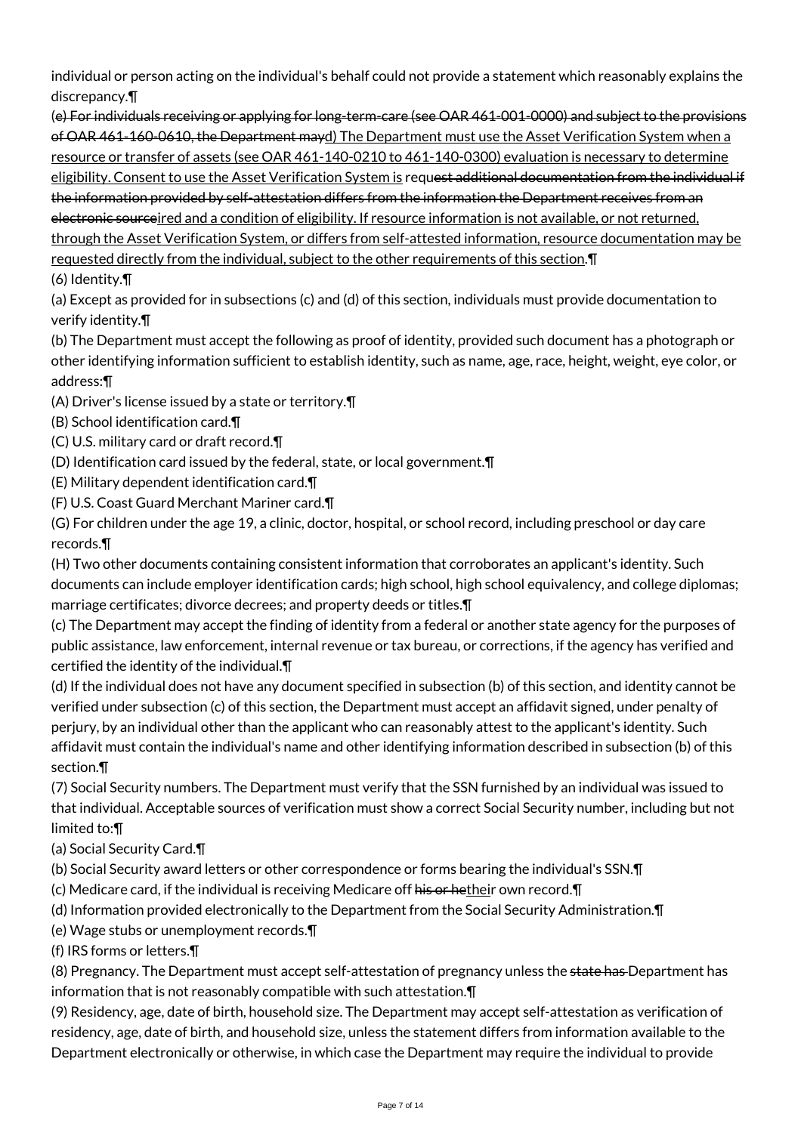individual or person acting on the individual's behalf could not provide a statement which reasonably explains the discrepancy.¶

(e) For individuals receiving or applying for long-term-care (see OAR 461-001-0000) and subject to the provisions of OAR 461-160-0610, the Department mayd) The Department must use the Asset Verification System when a resource or transfer of assets (see OAR 461-140-0210 to 461-140-0300) evaluation is necessary to determine eligibility. Consent to use the Asset Verification System is request additional documentation from the individual if the information provided by self-attestation differs from the information the Department receives from an electronic sourceired and a condition of eligibility. If resource information is not available, or not returned, through the Asset Verification System, or differs from self-attested information, resource documentation may be requested directly from the individual, subject to the other requirements of this section.¶

(6) Identity.¶

(a) Except as provided for in subsections (c) and (d) of this section, individuals must provide documentation to verify identity.¶

(b) The Department must accept the following as proof of identity, provided such document has a photograph or other identifying information sufficient to establish identity, such as name, age, race, height, weight, eye color, or address:¶

(A) Driver's license issued by a state or territory.¶

- (B) School identification card.¶
- (C) U.S. military card or draft record.¶

(D) Identification card issued by the federal, state, or local government.¶

(E) Military dependent identification card.¶

(F) U.S. Coast Guard Merchant Mariner card.¶

(G) For children under the age 19, a clinic, doctor, hospital, or school record, including preschool or day care records.¶

(H) Two other documents containing consistent information that corroborates an applicant's identity. Such documents can include employer identification cards; high school, high school equivalency, and college diplomas; marriage certificates; divorce decrees; and property deeds or titles.¶

(c) The Department may accept the finding of identity from a federal or another state agency for the purposes of public assistance, law enforcement, internal revenue or tax bureau, or corrections, if the agency has verified and certified the identity of the individual.¶

(d) If the individual does not have any document specified in subsection (b) of this section, and identity cannot be verified under subsection (c) of this section, the Department must accept an affidavit signed, under penalty of perjury, by an individual other than the applicant who can reasonably attest to the applicant's identity. Such affidavit must contain the individual's name and other identifying information described in subsection (b) of this section.¶

(7) Social Security numbers. The Department must verify that the SSN furnished by an individual was issued to that individual. Acceptable sources of verification must show a correct Social Security number, including but not limited to:¶

- (a) Social Security Card.¶
- (b) Social Security award letters or other correspondence or forms bearing the individual's SSN.¶
- (c) Medicare card, if the individual is receiving Medicare off his or hetheir own record. T
- (d) Information provided electronically to the Department from the Social Security Administration.¶
- (e) Wage stubs or unemployment records.¶
- (f) IRS forms or letters.¶

(8) Pregnancy. The Department must accept self-attestation of pregnancy unless the state has Department has information that is not reasonably compatible with such attestation.¶

(9) Residency, age, date of birth, household size. The Department may accept self-attestation as verification of residency, age, date of birth, and household size, unless the statement differs from information available to the Department electronically or otherwise, in which case the Department may require the individual to provide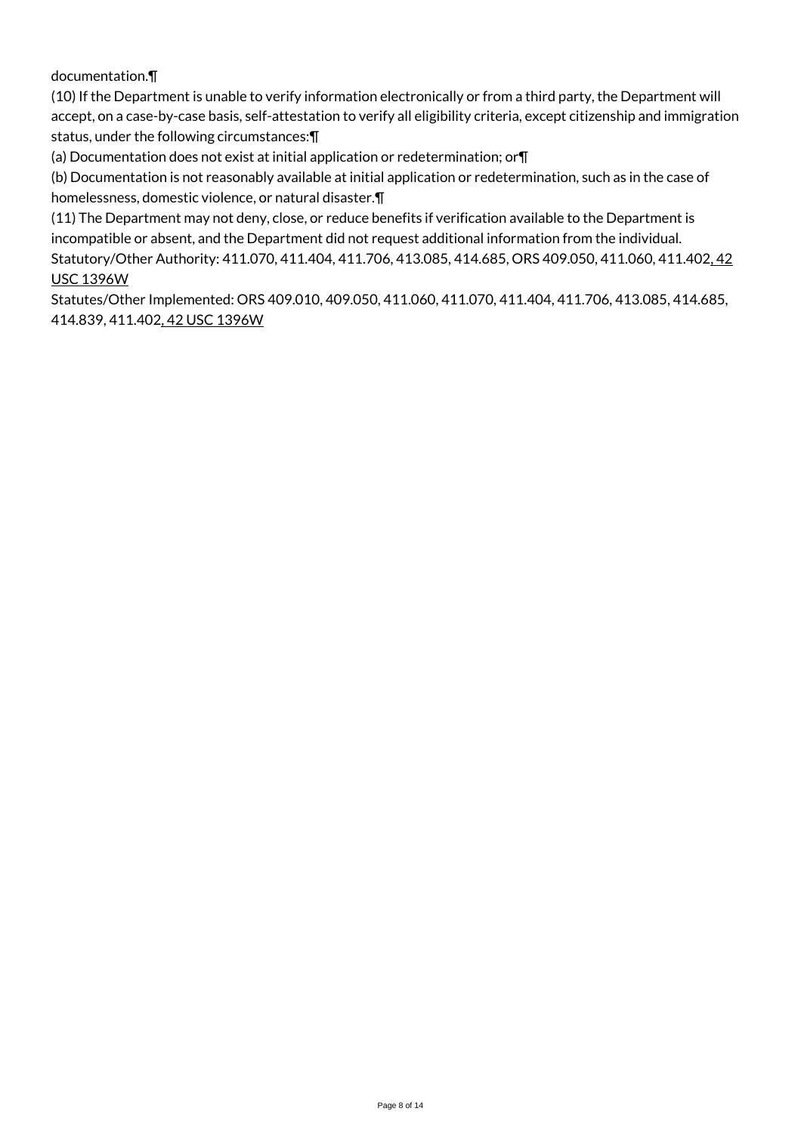# documentation.¶

(10) If the Department is unable to verify information electronically or from a third party, the Department will accept, on a case-by-case basis, self-attestation to verify all eligibility criteria, except citizenship and immigration status, under the following circumstances:¶

(a) Documentation does not exist at initial application or redetermination; or¶

(b) Documentation is not reasonably available at initial application or redetermination, such as in the case of homelessness, domestic violence, or natural disaster.¶

(11) The Department may not deny, close, or reduce benefits if verification available to the Department is incompatible or absent, and the Department did not request additional information from the individual. Statutory/Other Authority: 411.070, 411.404, 411.706, 413.085, 414.685, ORS 409.050, 411.060, 411.402, 42 USC 1396W

Statutes/Other Implemented: ORS 409.010, 409.050, 411.060, 411.070, 411.404, 411.706, 413.085, 414.685, 414.839, 411.402, 42 USC 1396W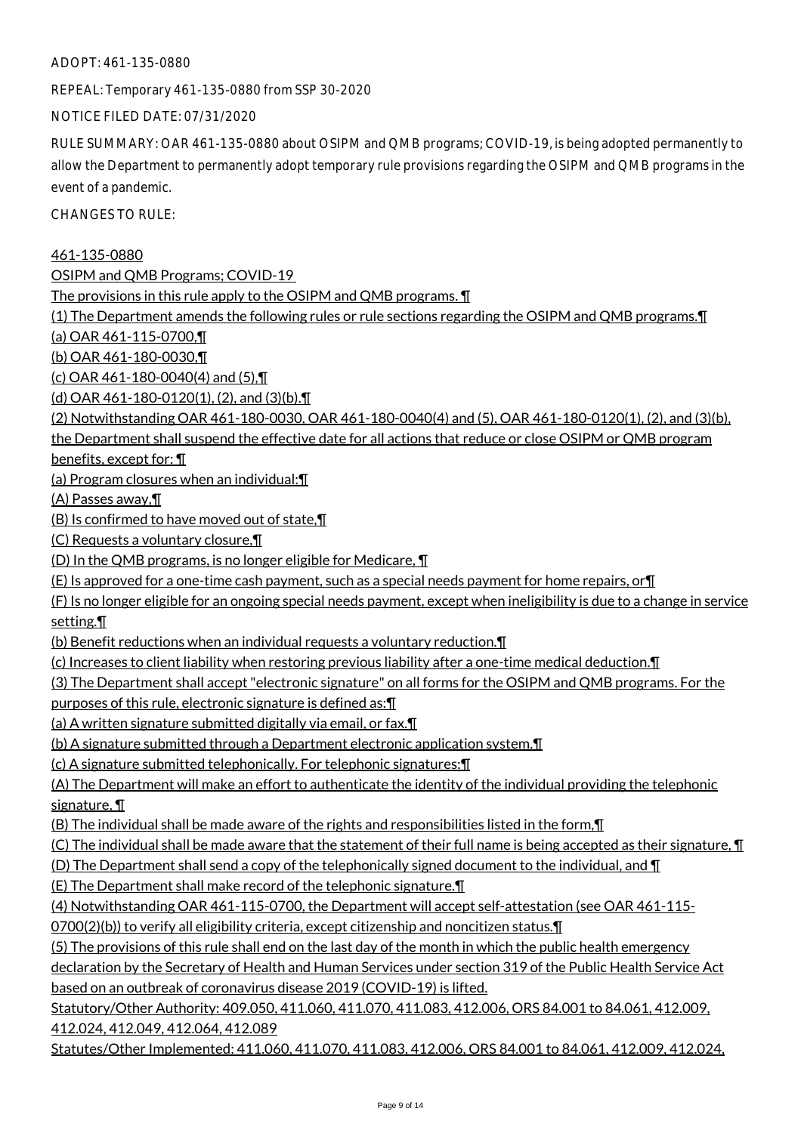ADOPT: 461-135-0880

REPEAL: Temporary 461-135-0880 from SSP 30-2020

NOTICE FILED DATE: 07/31/2020

RULE SUMMARY: OAR 461-135-0880 about OSIPM and QMB programs; COVID-19, is being adopted permanently to allow the Department to permanently adopt temporary rule provisions regarding the OSIPM and QMB programs in the event of a pandemic.

CHANGES TO RULE:

461-135-0880

OSIPM and QMB Programs; COVID-19

The provisions in this rule apply to the OSIPM and QMB programs. ¶

(1) The Department amends the following rules or rule sections regarding the OSIPM and QMB programs.¶

(a) OAR 461-115-0700,¶

(b) OAR 461-180-0030,¶

(c) OAR 461-180-0040(4) and (5),¶

(d) OAR 461-180-0120(1), (2), and (3)(b).¶

(2) Notwithstanding OAR 461-180-0030, OAR 461-180-0040(4) and (5), OAR 461-180-0120(1), (2), and (3)(b),

the Department shall suspend the effective date for all actions that reduce or close OSIPM or QMB program

benefits, except for: ¶

(a) Program closures when an individual:¶

(A) Passes away,¶

(B) Is confirmed to have moved out of state,¶

(C) Requests a voluntary closure,¶

(D) In the QMB programs, is no longer eligible for Medicare, ¶

(E) Is approved for a one-time cash payment, such as a special needs payment for home repairs, or¶

(F) Is no longer eligible for an ongoing special needs payment, except when ineligibility is due to a change in service setting.¶

(b) Benefit reductions when an individual requests a voluntary reduction.¶

(c) Increases to client liability when restoring previous liability after a one-time medical deduction.¶

(3) The Department shall accept "electronic signature" on all forms for the OSIPM and QMB programs. For the

purposes of this rule, electronic signature is defined as:¶

(a) A written signature submitted digitally via email, or fax.¶

(b) A signature submitted through a Department electronic application system.¶

(c) A signature submitted telephonically. For telephonic signatures:¶

(A) The Department will make an effort to authenticate the identity of the individual providing the telephonic signature, ¶

(B) The individual shall be made aware of the rights and responsibilities listed in the form,¶

(C) The individual shall be made aware that the statement of their full name is being accepted as their signature,  $\P$ 

(D) The Department shall send a copy of the telephonically signed document to the individual, and ¶

(E) The Department shall make record of the telephonic signature.¶

(4) Notwithstanding OAR 461-115-0700, the Department will accept self-attestation (see OAR 461-115-

0700(2)(b)) to verify all eligibility criteria, except citizenship and noncitizen status.¶

(5) The provisions of this rule shall end on the last day of the month in which the public health emergency

declaration by the Secretary of Health and Human Services under section 319 of the Public Health Service Act based on an outbreak of coronavirus disease 2019 (COVID-19) is lifted.

Statutory/Other Authority: 409.050, 411.060, 411.070, 411.083, 412.006, ORS 84.001 to 84.061, 412.009, 412.024, 412.049, 412.064, 412.089

Statutes/Other Implemented: 411.060, 411.070, 411.083, 412.006, ORS 84.001 to 84.061, 412.009, 412.024,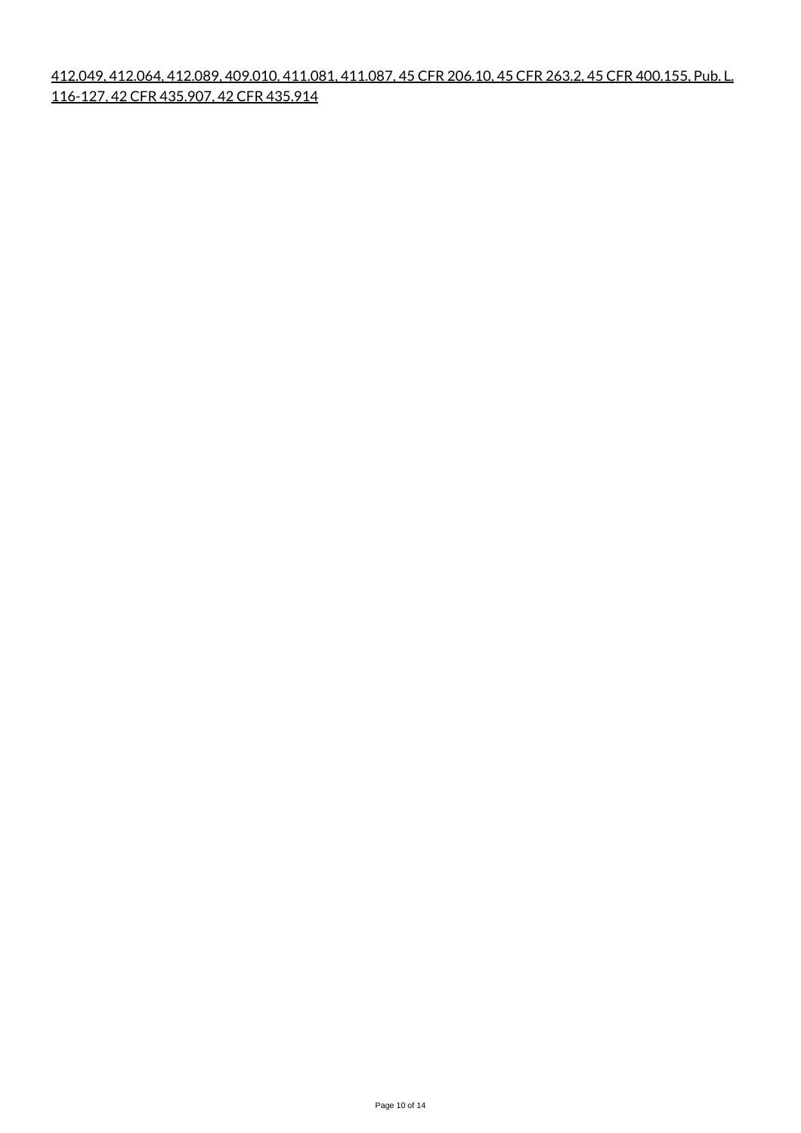412.049, 412.064, 412.089, 409.010, 411.081, 411.087, 45 CFR 206.10, 45 CFR 263.2, 45 CFR 400.155, Pub. L. 116-127, 42 CFR 435.907, 42 CFR 435.914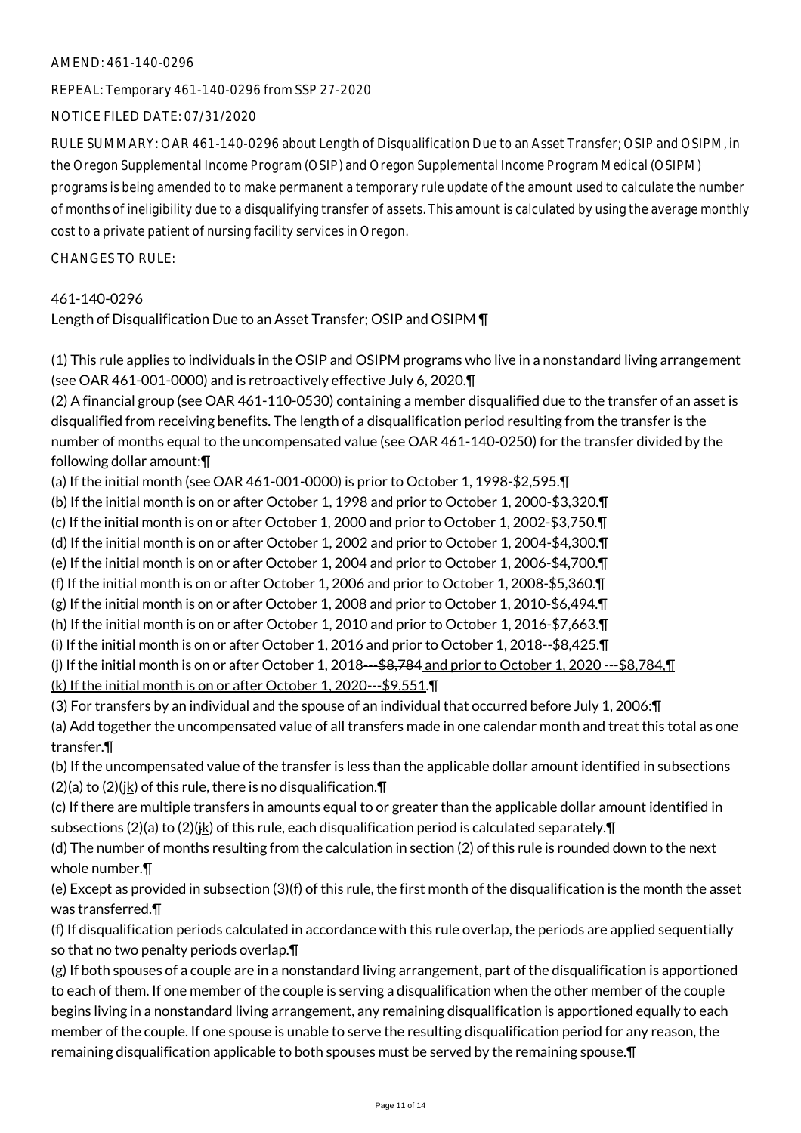## AMEND: 461-140-0296

REPEAL: Temporary 461-140-0296 from SSP 27-2020

NOTICE FILED DATE: 07/31/2020

RULE SUMMARY: OAR 461-140-0296 about Length of Disqualification Due to an Asset Transfer; OSIP and OSIPM, in the Oregon Supplemental Income Program (OSIP) and Oregon Supplemental Income Program Medical (OSIPM) programs is being amended to to make permanent a temporary rule update of the amount used to calculate the number of months of ineligibility due to a disqualifying transfer of assets. This amount is calculated by using the average monthly cost to a private patient of nursing facility services in Oregon.

CHANGES TO RULE:

# 461-140-0296

Length of Disqualification Due to an Asset Transfer; OSIP and OSIPM ¶

(1) This rule applies to individuals in the OSIP and OSIPM programs who live in a nonstandard living arrangement (see OAR 461-001-0000) and is retroactively effective July 6, 2020.¶

(2) A financial group (see OAR 461-110-0530) containing a member disqualified due to the transfer of an asset is disqualified from receiving benefits. The length of a disqualification period resulting from the transfer is the number of months equal to the uncompensated value (see OAR 461-140-0250) for the transfer divided by the following dollar amount:¶

(a) If the initial month (see OAR 461-001-0000) is prior to October 1, 1998-\$2,595.¶

(b) If the initial month is on or after October 1, 1998 and prior to October 1, 2000-\$3,320.¶

(c) If the initial month is on or after October 1, 2000 and prior to October 1, 2002-\$3,750.¶

(d) If the initial month is on or after October 1, 2002 and prior to October 1, 2004-\$4,300.¶

(e) If the initial month is on or after October 1, 2004 and prior to October 1, 2006-\$4,700.¶

(f) If the initial month is on or after October 1, 2006 and prior to October 1, 2008-\$5,360.¶

(g) If the initial month is on or after October 1, 2008 and prior to October 1, 2010-\$6,494.¶

(h) If the initial month is on or after October 1, 2010 and prior to October 1, 2016-\$7,663.¶

(i) If the initial month is on or after October 1, 2016 and prior to October 1, 2018--\$8,425.¶

(i) If the initial month is on or after October 1, 2018---\$8,784 and prior to October 1, 2020 ---\$8,784, $\P$ (k) If the initial month is on or after October 1, 2020---\$9,551.¶

(3) For transfers by an individual and the spouse of an individual that occurred before July 1, 2006:¶

(a) Add together the uncompensated value of all transfers made in one calendar month and treat this total as one transfer.¶

(b) If the uncompensated value of the transfer is less than the applicable dollar amount identified in subsections (2)(a) to (2)( $\frac{1}{16}$ ) of this rule, there is no disqualification. $\P$ 

(c) If there are multiple transfers in amounts equal to or greater than the applicable dollar amount identified in subsections (2)(a) to (2)( $\frac{1}{2}$ ) of this rule, each disqualification period is calculated separately. T

(d) The number of months resulting from the calculation in section (2) of this rule is rounded down to the next whole number.¶

(e) Except as provided in subsection (3)(f) of this rule, the first month of the disqualification is the month the asset was transferred.¶

(f) If disqualification periods calculated in accordance with this rule overlap, the periods are applied sequentially so that no two penalty periods overlap.¶

(g) If both spouses of a couple are in a nonstandard living arrangement, part of the disqualification is apportioned to each of them. If one member of the couple is serving a disqualification when the other member of the couple begins living in a nonstandard living arrangement, any remaining disqualification is apportioned equally to each member of the couple. If one spouse is unable to serve the resulting disqualification period for any reason, the remaining disqualification applicable to both spouses must be served by the remaining spouse.¶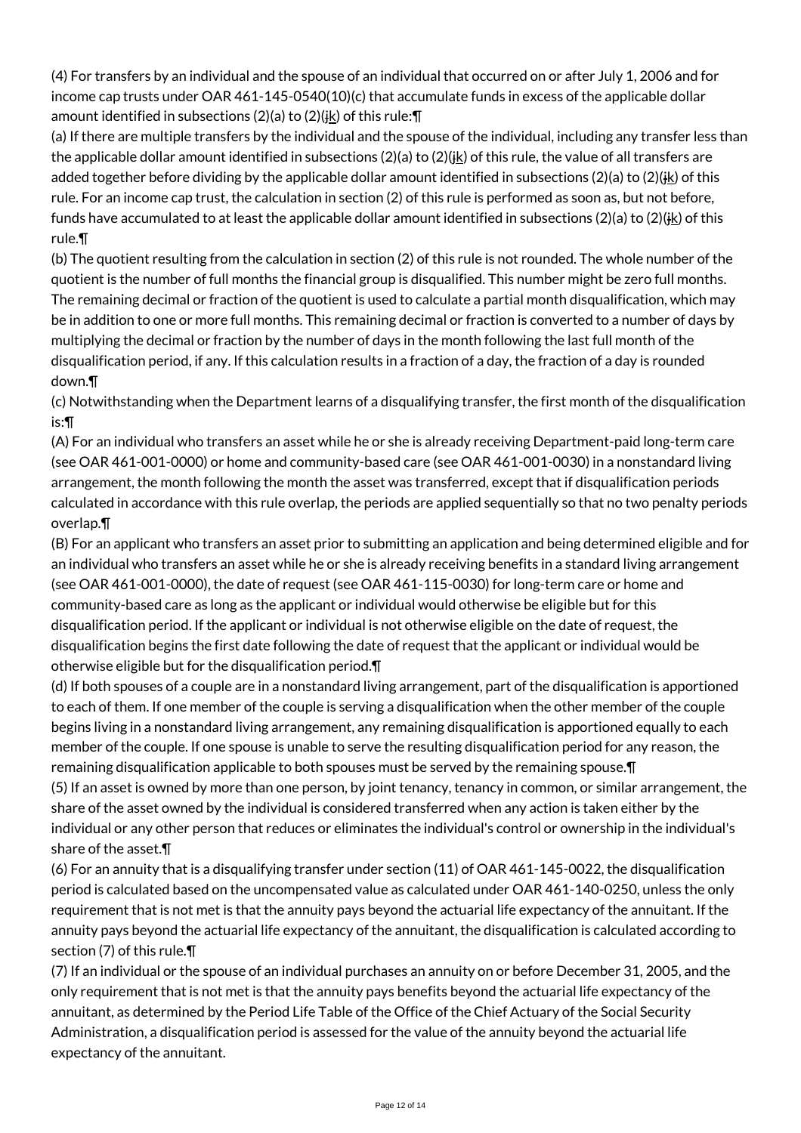(4) For transfers by an individual and the spouse of an individual that occurred on or after July 1, 2006 and for income cap trusts under OAR 461-145-0540(10)(c) that accumulate funds in excess of the applicable dollar amount identified in subsections (2)(a) to (2)( $\frac{1}{2}$ ) of this rule:  $\P$ 

(a) If there are multiple transfers by the individual and the spouse of the individual, including any transfer less than the applicable dollar amount identified in subsections  $(2)(a)$  to  $(2)(ik)$  of this rule, the value of all transfers are added together before dividing by the applicable dollar amount identified in subsections (2)(a) to (2)( $\frac{1}{16}$ ) of this rule. For an income cap trust, the calculation in section (2) of this rule is performed as soon as, but not before, funds have accumulated to at least the applicable dollar amount identified in subsections (2)(a) to (2)(ik) of this rule.¶

(b) The quotient resulting from the calculation in section (2) of this rule is not rounded. The whole number of the quotient is the number of full months the financial group is disqualified. This number might be zero full months. The remaining decimal or fraction of the quotient is used to calculate a partial month disqualification, which may be in addition to one or more full months. This remaining decimal or fraction is converted to a number of days by multiplying the decimal or fraction by the number of days in the month following the last full month of the disqualification period, if any. If this calculation results in a fraction of a day, the fraction of a day is rounded down.¶

(c) Notwithstanding when the Department learns of a disqualifying transfer, the first month of the disqualification is:¶

(A) For an individual who transfers an asset while he or she is already receiving Department-paid long-term care (see OAR 461-001-0000) or home and community-based care (see OAR 461-001-0030) in a nonstandard living arrangement, the month following the month the asset was transferred, except that if disqualification periods calculated in accordance with this rule overlap, the periods are applied sequentially so that no two penalty periods overlap.¶

(B) For an applicant who transfers an asset prior to submitting an application and being determined eligible and for an individual who transfers an asset while he or she is already receiving benefits in a standard living arrangement (see OAR 461-001-0000), the date of request (see OAR 461-115-0030) for long-term care or home and community-based care as long as the applicant or individual would otherwise be eligible but for this disqualification period. If the applicant or individual is not otherwise eligible on the date of request, the disqualification begins the first date following the date of request that the applicant or individual would be otherwise eligible but for the disqualification period.¶

(d) If both spouses of a couple are in a nonstandard living arrangement, part of the disqualification is apportioned to each of them. If one member of the couple is serving a disqualification when the other member of the couple begins living in a nonstandard living arrangement, any remaining disqualification is apportioned equally to each member of the couple. If one spouse is unable to serve the resulting disqualification period for any reason, the remaining disqualification applicable to both spouses must be served by the remaining spouse.¶

(5) If an asset is owned by more than one person, by joint tenancy, tenancy in common, or similar arrangement, the share of the asset owned by the individual is considered transferred when any action is taken either by the individual or any other person that reduces or eliminates the individual's control or ownership in the individual's share of the asset.¶

(6) For an annuity that is a disqualifying transfer under section (11) of OAR 461-145-0022, the disqualification period is calculated based on the uncompensated value as calculated under OAR 461-140-0250, unless the only requirement that is not met is that the annuity pays beyond the actuarial life expectancy of the annuitant. If the annuity pays beyond the actuarial life expectancy of the annuitant, the disqualification is calculated according to section (7) of this rule.¶

(7) If an individual or the spouse of an individual purchases an annuity on or before December 31, 2005, and the only requirement that is not met is that the annuity pays benefits beyond the actuarial life expectancy of the annuitant, as determined by the Period Life Table of the Office of the Chief Actuary of the Social Security Administration, a disqualification period is assessed for the value of the annuity beyond the actuarial life expectancy of the annuitant.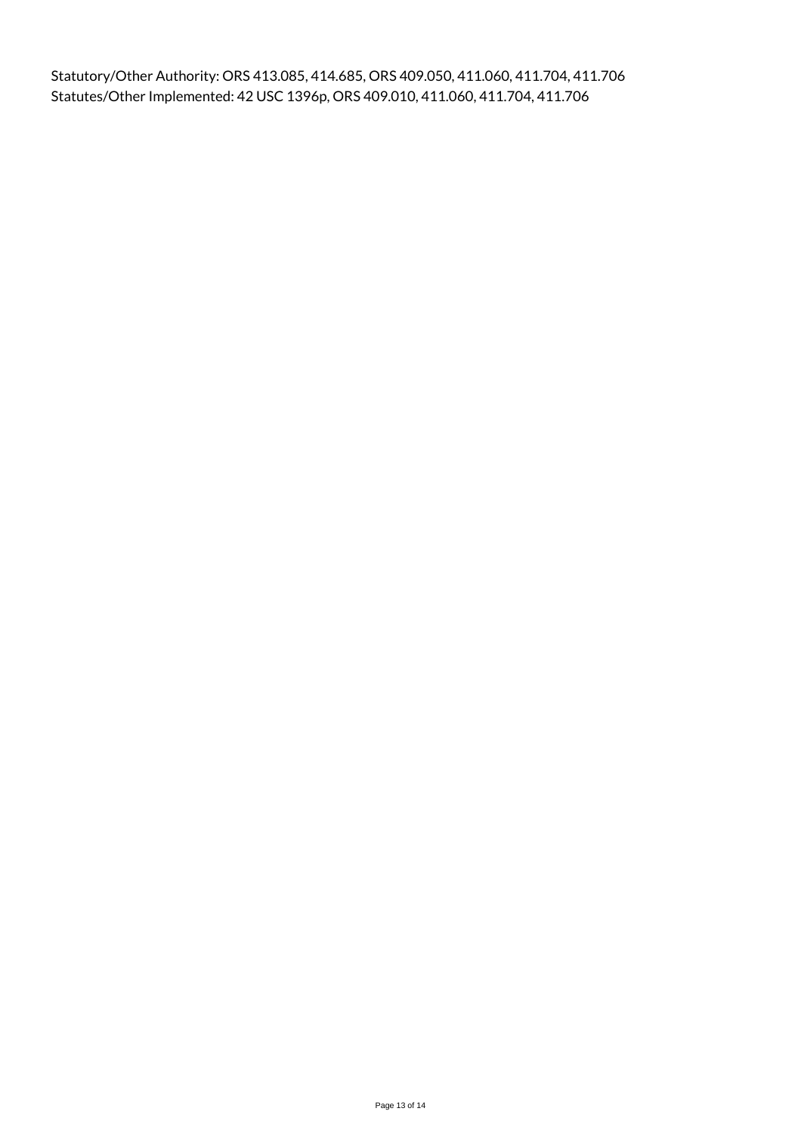Statutory/Other Authority: ORS 413.085, 414.685, ORS 409.050, 411.060, 411.704, 411.706 Statutes/Other Implemented: 42 USC 1396p, ORS 409.010, 411.060, 411.704, 411.706